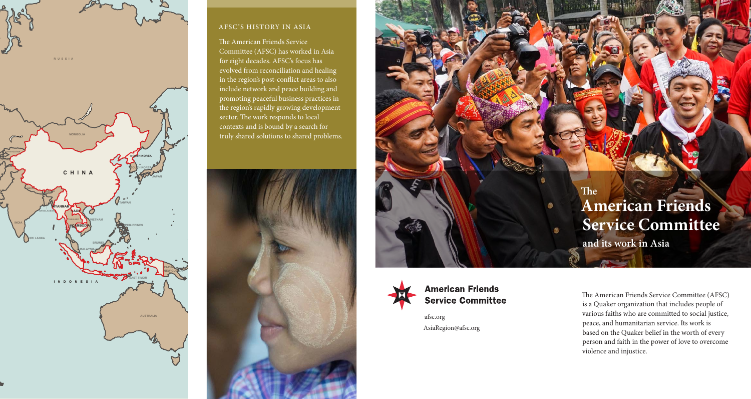

**RUSSIA**



#### AFSC'S HISTORY IN ASIA

The American Friends Service Committee (AFSC) has worked in Asia for eight decades. AFSC's focus has evolved from reconciliation and healing in the region's post-conflict areas to also include network and peace building and promoting peaceful business practices in the region's rapidly growing development sector. The work responds to local contexts and is bound by a search for truly shared solutions to shared problems.





afsc.org AsiaRegion@afsc.org

# **The American Friends Service Committee and its work in Asia**

The American Friends Service Committee (AFSC) is a Quaker organization that includes people of various faiths who are committed to social justice, peace, and humanitarian service. Its work is based on the Quaker belief in the worth of every person and faith in the power of love to overcome violence and injustice.